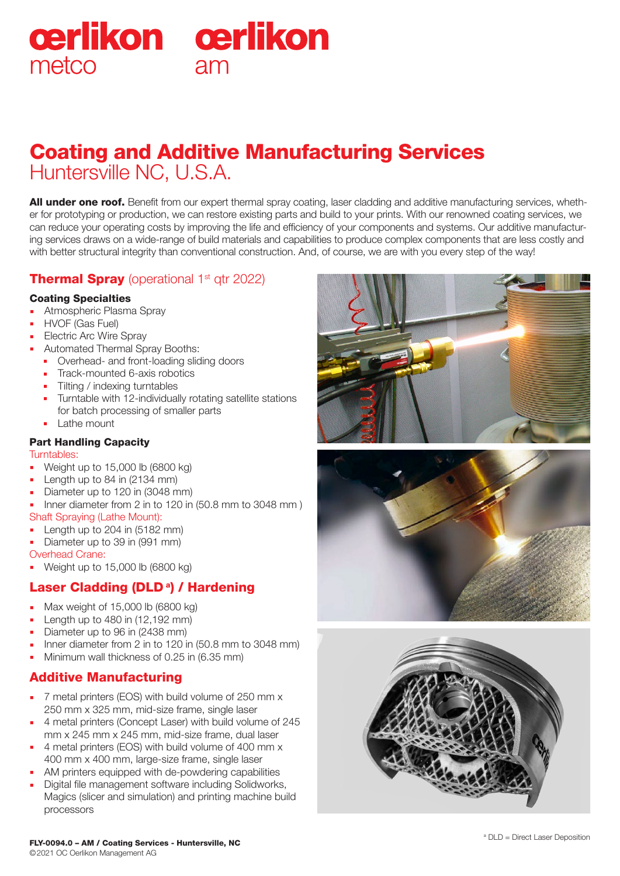# cerlikon cerlikon metco  $Am$

# Huntersville NC, U.S.A. Coating and Additive Manufacturing Services

All under one roof. Benefit from our expert thermal spray coating, laser cladding and additive manufacturing services, whether for prototyping or production, we can restore existing parts and build to your prints. With our renowned coating services, we can reduce your operating costs by improving the life and efficiency of your components and systems. Our additive manufacturing services draws on a wide-range of build materials and capabilities to produce complex components that are less costly and with better structural integrity than conventional construction. And, of course, we are with you every step of the way!

# Thermal Spray (operational 1<sup>st</sup> qtr 2022)

#### Coating Specialties

- **Atmospheric Plasma Spray**
- **HVOF (Gas Fuel)**
- **Electric Arc Wire Spray**
- Automated Thermal Spray Booths:
	- **•** Overhead- and front-loading sliding doors
	- **Track-mounted 6-axis robotics**
	- Tilting / indexing turntables
	- **Turntable with 12-individually rotating satellite stations** for batch processing of smaller parts
	- **Lathe mount**

#### Part Handling Capacity

#### Turntables:

- Weight up to 15,000 lb (6800 kg)
- Length up to 84 in (2134 mm)
- Diameter up to 120 in (3048 mm)
- Inner diameter from 2 in to 120 in (50.8 mm to 3048 mm ) Shaft Spraying (Lathe Mount):
- Length up to 204 in (5182 mm)
- Diameter up to 39 in (991 mm)

Overhead Crane:

**Weight up to 15,000 lb (6800 kg)** 

# Laser Cladding (DLD<sup>a</sup>) / Hardening

- Max weight of 15,000 lb (6800 kg)
- Length up to 480 in (12,192 mm)
- Diameter up to 96 in (2438 mm)
- Inner diameter from 2 in to 120 in (50.8 mm to 3048 mm)
- Minimum wall thickness of 0.25 in (6.35 mm)

## Additive Manufacturing

- T metal printers (EOS) with build volume of 250 mm x 250 mm x 325 mm, mid-size frame, single laser
- 4 metal printers (Concept Laser) with build volume of 245 mm x 245 mm x 245 mm, mid-size frame, dual laser
- 4 metal printers (EOS) with build volume of 400 mm x 400 mm x 400 mm, large-size frame, single laser
- AM printers equipped with de-powdering capabilities
- Digital file management software including Solidworks, Magics (slicer and simulation) and printing machine build processors